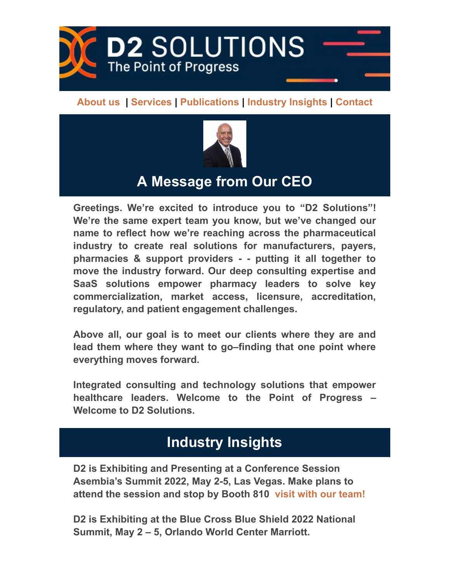

[About](#page-2-0) us | [Services](#page-2-1) | [Publications](#page-1-0) | [Industry](#page-0-0) Insights | [Contact](https://go.vbt.email/r/3RzE/?__vbtrk&_uax&ct)



## A Message from Our CEO

Greetings. We're excited to introduce you to "D2 Solutions"! We're the same expert team you know, but we've changed our name to reflect how we're reaching across the pharmaceutical industry to create real solutions for manufacturers, payers, pharmacies & support providers - - putting it all together to move the industry forward. Our deep consulting expertise and SaaS solutions empower pharmacy leaders to solve key commercialization, market access, licensure, accreditation, regulatory, and patient engagement challenges.

Above all, our goal is to meet our clients where they are and lead them where they want to go–finding that one point where everything moves forward.

Integrated consulting and technology solutions that empower healthcare leaders. Welcome to the Point of Progress – Welcome to D2 Solutions.

# <span id="page-0-0"></span>Industry Insights

D2 is Exhibiting and Presenting at a Conference Session Asembia's Summit 2022, May 2-5, Las Vegas. Make plans to attend the session and stop by Booth 810 visit with our [team!](https://go.vbt.email/r/3RzG/?__vbtrk&_uax&ct)

D2 is Exhibiting at the Blue Cross Blue Shield 2022 National Summit, May 2 – 5, Orlando World Center Marriott.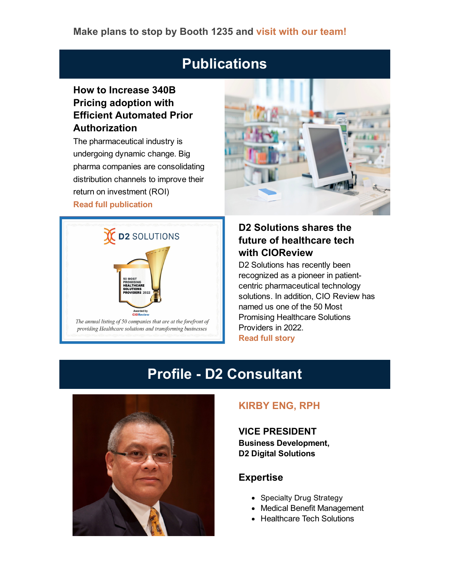#### Make plans to stop by Booth 1235 and visit with our [team!](https://go.vbt.email/r/3RBC/?__vbtrk&_uax&ct)

## <span id="page-1-0"></span>**Publications**

### How to Increase 340B Pricing adoption with Efficient Automated Prior Authorization

The pharmaceutical industry is undergoing dynamic change. Big pharma companies are consolidating distribution channels to improve their return on investment (ROI) Read full [publication](https://go.vbt.email/r/3RBO/?__vbtrk&_uax&ct)





### D2 Solutions shares the future of healthcare tech with CIOReview

D<sub>2</sub> Solutions has recently been recognized as a pioneer in patientcentric pharmaceutical technology solutions. In addition, CIO Review has named us one of the 50 Most Promising Healthcare Solutions Providers in 2022. [Read](https://go.vbt.email/r/3RBP/?__vbtrk&_uax&ct) full story

## **Profile - D2 Consultant**



#### [KIRBY](https://go.vbt.email/r/3RBQ/?__vbtrk&_uax&ct) ENG, RPH

VICE PRESIDENT Business Development, D2 Digital Solutions

#### Expertise

- Specialty Drug Strategy
- Medical Benefit Management
- Healthcare Tech Solutions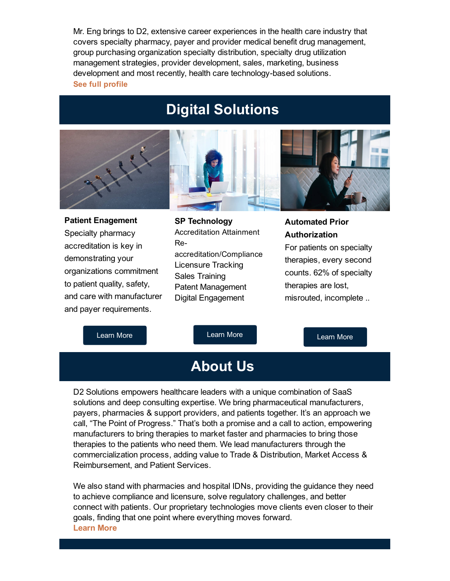Mr. Eng brings to D2, extensive career experiences in the health care industry that covers specialty pharmacy, payer and provider medical benefit drug management, group purchasing organization specialty distribution, specialty drug utilization management strategies, provider development, sales, marketing, business development and most recently, health care technology-based solutions. See full [profile](https://go.vbt.email/r/3RzK/?__vbtrk&_uax&ct)



## <span id="page-2-1"></span>Digital Solutions



Patient Enagement Specialty pharmacy accreditation is key in demonstrating your organizations commitment to patient quality, safety, and care with manufacturer and payer requirements.





#### Automated Prior Authorization

For patients on specialty therapies, every second counts. 62% of specialty therapies are lost, misrouted, incomplete ..

[Learn](https://go.vbt.email/r/3RzM/?__vbtrk&_uax&ct) More

[Learn](https://go.vbt.email/r/3RzN/?__vbtrk&_uax&ct) More

[Learn](https://go.vbt.email/r/3RzO/?__vbtrk&_uax&ct) More

# <span id="page-2-0"></span>About Us

D2 Solutions empowers healthcare leaders with a unique combination of SaaS solutions and deep consulting expertise. We bring pharmaceutical manufacturers, payers, pharmacies & support providers, and patients together. It's an approach we call, "The Point of Progress." That's both a promise and a call to action, empowering manufacturers to bring therapies to market faster and pharmacies to bring those therapies to the patients who need them. We lead manufacturers through the commercialization process, adding value to Trade & Distribution, Market Access & Reimbursement, and Patient Services.

We also stand with pharmacies and hospital IDNs, providing the guidance they need to achieve compliance and licensure, solve regulatory challenges, and better connect with patients. Our proprietary technologies move clients even closer to their goals, finding that one point where everything moves forward. [Learn](https://go.vbt.email/r/3RzP/?__vbtrk&_uax&ct) More